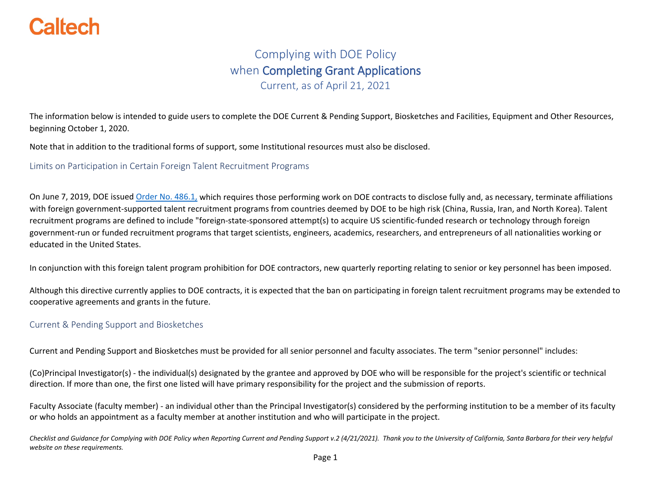#### Complying with DOE Policy when Completing Grant Applications Current, as of April 21, 2021

The information below is intended to guide users to complete the DOE Current & Pending Support, Biosketches and Facilities, Equipment and Other Resources, beginning October 1, 2020.

Note that in addition to the traditional forms of support, some Institutional resources must also be disclosed.

Limits on Participation in Certain Foreign Talent Recruitment Programs

On June 7, 2019, DOE issued [Order No. 486.1,](https://www.directives.doe.gov/directives-documents/400-series/0486.1-BOrder/@@images/file) which requires those performing work on DOE contracts to disclose fully and, as necessary, terminate affiliations with foreign government-supported talent recruitment programs from countries deemed by DOE to be high risk (China, Russia, Iran, and North Korea). Talent recruitment programs are defined to include "foreign-state-sponsored attempt(s) to acquire US scientific-funded research or technology through foreign government-run or funded recruitment programs that target scientists, engineers, academics, researchers, and entrepreneurs of all nationalities working or educated in the United States.

In conjunction with this foreign talent program prohibition for DOE contractors, new quarterly reporting relating to senior or key personnel has been imposed.

Although this directive currently applies to DOE contracts, it is expected that the ban on participating in foreign talent recruitment programs may be extended to cooperative agreements and grants in the future.

#### Current & Pending Support and Biosketches

Current and Pending Support and Biosketches must be provided for all senior personnel and faculty associates. The term ["senior personnel"](https://www.nsf.gov/pubs/gpg/faqs.pdf#%5B%7B%22num%22%3A87%2C%22gen%22%3A0%7D%2C%7B%22name%22%3A%22FitH%22%7D%2C753%5D) includes:

(Co)Principal Investigator(s) - the individual(s) designated by the grantee and approved by DOE who will be responsible for the project's scientific or technical direction. If more than one, the first one listed will have primary responsibility for the project and the submission of reports.

Faculty Associate (faculty member) - an individual other than the Principal Investigator(s) considered by the performing institution to be a member of its faculty or who holds an appointment as a faculty member at another institution and who will participate in the project.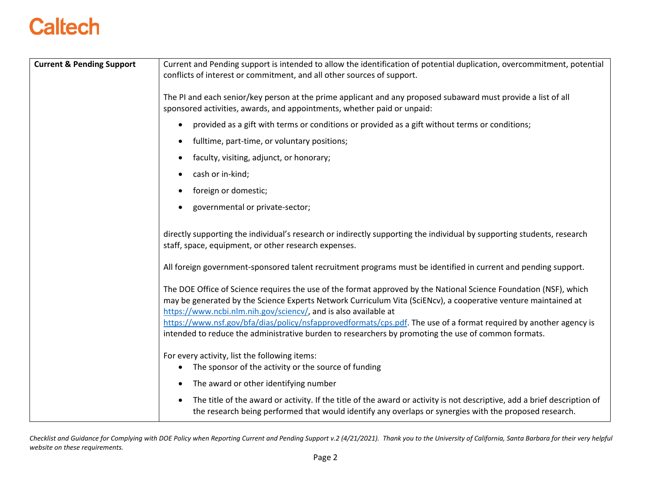| <b>Current &amp; Pending Support</b> | Current and Pending support is intended to allow the identification of potential duplication, overcommitment, potential<br>conflicts of interest or commitment, and all other sources of support.                                                                                                                                                                                                                           |
|--------------------------------------|-----------------------------------------------------------------------------------------------------------------------------------------------------------------------------------------------------------------------------------------------------------------------------------------------------------------------------------------------------------------------------------------------------------------------------|
|                                      | The PI and each senior/key person at the prime applicant and any proposed subaward must provide a list of all<br>sponsored activities, awards, and appointments, whether paid or unpaid:                                                                                                                                                                                                                                    |
|                                      | provided as a gift with terms or conditions or provided as a gift without terms or conditions;<br>$\bullet$                                                                                                                                                                                                                                                                                                                 |
|                                      | fulltime, part-time, or voluntary positions;<br>$\bullet$                                                                                                                                                                                                                                                                                                                                                                   |
|                                      | faculty, visiting, adjunct, or honorary;<br>$\bullet$                                                                                                                                                                                                                                                                                                                                                                       |
|                                      | cash or in-kind;<br>$\bullet$                                                                                                                                                                                                                                                                                                                                                                                               |
|                                      | foreign or domestic;                                                                                                                                                                                                                                                                                                                                                                                                        |
|                                      | governmental or private-sector;<br>$\bullet$                                                                                                                                                                                                                                                                                                                                                                                |
|                                      | directly supporting the individual's research or indirectly supporting the individual by supporting students, research<br>staff, space, equipment, or other research expenses.                                                                                                                                                                                                                                              |
|                                      | All foreign government-sponsored talent recruitment programs must be identified in current and pending support.                                                                                                                                                                                                                                                                                                             |
|                                      | The DOE Office of Science requires the use of the format approved by the National Science Foundation (NSF), which<br>may be generated by the Science Experts Network Curriculum Vita (SciENcv), a cooperative venture maintained at<br>https://www.ncbi.nlm.nih.gov/sciencv/, and is also available at<br>https://www.nsf.gov/bfa/dias/policy/nsfapprovedformats/cps.pdf. The use of a format required by another agency is |
|                                      | intended to reduce the administrative burden to researchers by promoting the use of common formats.                                                                                                                                                                                                                                                                                                                         |
|                                      | For every activity, list the following items:<br>The sponsor of the activity or the source of funding<br>$\bullet$                                                                                                                                                                                                                                                                                                          |
|                                      | The award or other identifying number<br>$\bullet$                                                                                                                                                                                                                                                                                                                                                                          |
|                                      | The title of the award or activity. If the title of the award or activity is not descriptive, add a brief description of<br>$\bullet$<br>the research being performed that would identify any overlaps or synergies with the proposed research.                                                                                                                                                                             |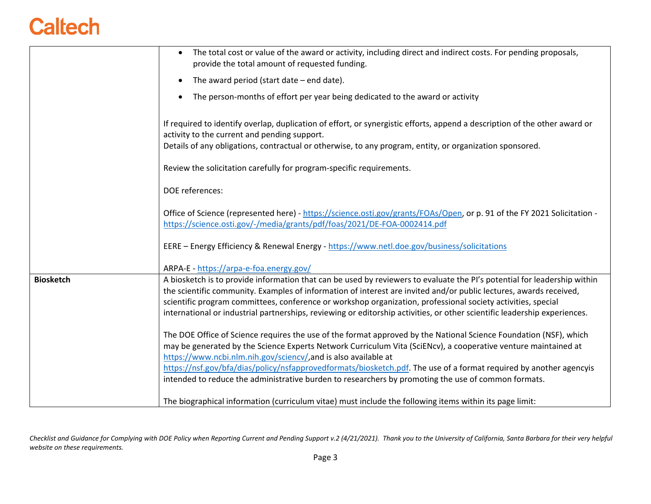|                  | The total cost or value of the award or activity, including direct and indirect costs. For pending proposals,<br>$\bullet$<br>provide the total amount of requested funding.                                                                                                                                                                                                                                                                                                                |
|------------------|---------------------------------------------------------------------------------------------------------------------------------------------------------------------------------------------------------------------------------------------------------------------------------------------------------------------------------------------------------------------------------------------------------------------------------------------------------------------------------------------|
|                  | The award period (start date $-$ end date).<br>$\bullet$                                                                                                                                                                                                                                                                                                                                                                                                                                    |
|                  | The person-months of effort per year being dedicated to the award or activity<br>$\bullet$                                                                                                                                                                                                                                                                                                                                                                                                  |
|                  | If required to identify overlap, duplication of effort, or synergistic efforts, append a description of the other award or<br>activity to the current and pending support.                                                                                                                                                                                                                                                                                                                  |
|                  | Details of any obligations, contractual or otherwise, to any program, entity, or organization sponsored.                                                                                                                                                                                                                                                                                                                                                                                    |
|                  | Review the solicitation carefully for program-specific requirements.                                                                                                                                                                                                                                                                                                                                                                                                                        |
|                  | DOE references:                                                                                                                                                                                                                                                                                                                                                                                                                                                                             |
|                  | Office of Science (represented here) - https://science.osti.gov/grants/FOAs/Open, or p. 91 of the FY 2021 Solicitation -<br>https://science.osti.gov/-/media/grants/pdf/foas/2021/DE-FOA-0002414.pdf                                                                                                                                                                                                                                                                                        |
|                  | EERE - Energy Efficiency & Renewal Energy - https://www.netl.doe.gov/business/solicitations                                                                                                                                                                                                                                                                                                                                                                                                 |
|                  | ARPA-E - https://arpa-e-foa.energy.gov/                                                                                                                                                                                                                                                                                                                                                                                                                                                     |
| <b>Biosketch</b> | A biosketch is to provide information that can be used by reviewers to evaluate the PI's potential for leadership within<br>the scientific community. Examples of information of interest are invited and/or public lectures, awards received,<br>scientific program committees, conference or workshop organization, professional society activities, special<br>international or industrial partnerships, reviewing or editorship activities, or other scientific leadership experiences. |
|                  | The DOE Office of Science requires the use of the format approved by the National Science Foundation (NSF), which<br>may be generated by the Science Experts Network Curriculum Vita (SciENcv), a cooperative venture maintained at<br>https://www.ncbi.nlm.nih.gov/sciencv/,and is also available at                                                                                                                                                                                       |
|                  | https://nsf.gov/bfa/dias/policy/nsfapprovedformats/biosketch.pdf. The use of a format required by another agencyis<br>intended to reduce the administrative burden to researchers by promoting the use of common formats.                                                                                                                                                                                                                                                                   |
|                  | The biographical information (curriculum vitae) must include the following items within its page limit:                                                                                                                                                                                                                                                                                                                                                                                     |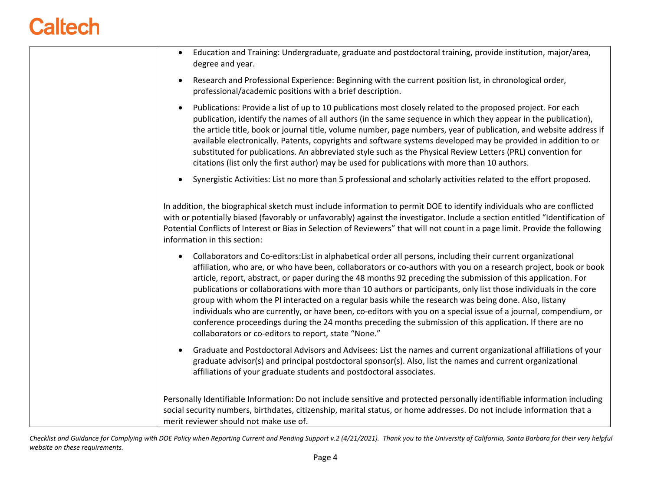| Education and Training: Undergraduate, graduate and postdoctoral training, provide institution, major/area,<br>$\bullet$<br>degree and year.                                                                                                                                                                                                                                                                                                                                                                                                                                                                                                                                                                                                                                                                                                                                          |
|---------------------------------------------------------------------------------------------------------------------------------------------------------------------------------------------------------------------------------------------------------------------------------------------------------------------------------------------------------------------------------------------------------------------------------------------------------------------------------------------------------------------------------------------------------------------------------------------------------------------------------------------------------------------------------------------------------------------------------------------------------------------------------------------------------------------------------------------------------------------------------------|
| Research and Professional Experience: Beginning with the current position list, in chronological order,<br>$\bullet$<br>professional/academic positions with a brief description.                                                                                                                                                                                                                                                                                                                                                                                                                                                                                                                                                                                                                                                                                                     |
| Publications: Provide a list of up to 10 publications most closely related to the proposed project. For each<br>$\bullet$<br>publication, identify the names of all authors (in the same sequence in which they appear in the publication),<br>the article title, book or journal title, volume number, page numbers, year of publication, and website address if<br>available electronically. Patents, copyrights and software systems developed may be provided in addition to or<br>substituted for publications. An abbreviated style such as the Physical Review Letters (PRL) convention for<br>citations (list only the first author) may be used for publications with more than 10 authors.                                                                                                                                                                                  |
| Synergistic Activities: List no more than 5 professional and scholarly activities related to the effort proposed.<br>$\bullet$                                                                                                                                                                                                                                                                                                                                                                                                                                                                                                                                                                                                                                                                                                                                                        |
| In addition, the biographical sketch must include information to permit DOE to identify individuals who are conflicted<br>with or potentially biased (favorably or unfavorably) against the investigator. Include a section entitled "Identification of<br>Potential Conflicts of Interest or Bias in Selection of Reviewers" that will not count in a page limit. Provide the following<br>information in this section:                                                                                                                                                                                                                                                                                                                                                                                                                                                              |
| Collaborators and Co-editors: List in alphabetical order all persons, including their current organizational<br>$\bullet$<br>affiliation, who are, or who have been, collaborators or co-authors with you on a research project, book or book<br>article, report, abstract, or paper during the 48 months 92 preceding the submission of this application. For<br>publications or collaborations with more than 10 authors or participants, only list those individuals in the core<br>group with whom the PI interacted on a regular basis while the research was being done. Also, listany<br>individuals who are currently, or have been, co-editors with you on a special issue of a journal, compendium, or<br>conference proceedings during the 24 months preceding the submission of this application. If there are no<br>collaborators or co-editors to report, state "None." |
| Graduate and Postdoctoral Advisors and Advisees: List the names and current organizational affiliations of your<br>graduate advisor(s) and principal postdoctoral sponsor(s). Also, list the names and current organizational<br>affiliations of your graduate students and postdoctoral associates.                                                                                                                                                                                                                                                                                                                                                                                                                                                                                                                                                                                  |
| Personally Identifiable Information: Do not include sensitive and protected personally identifiable information including<br>social security numbers, birthdates, citizenship, marital status, or home addresses. Do not include information that a<br>merit reviewer should not make use of.                                                                                                                                                                                                                                                                                                                                                                                                                                                                                                                                                                                         |